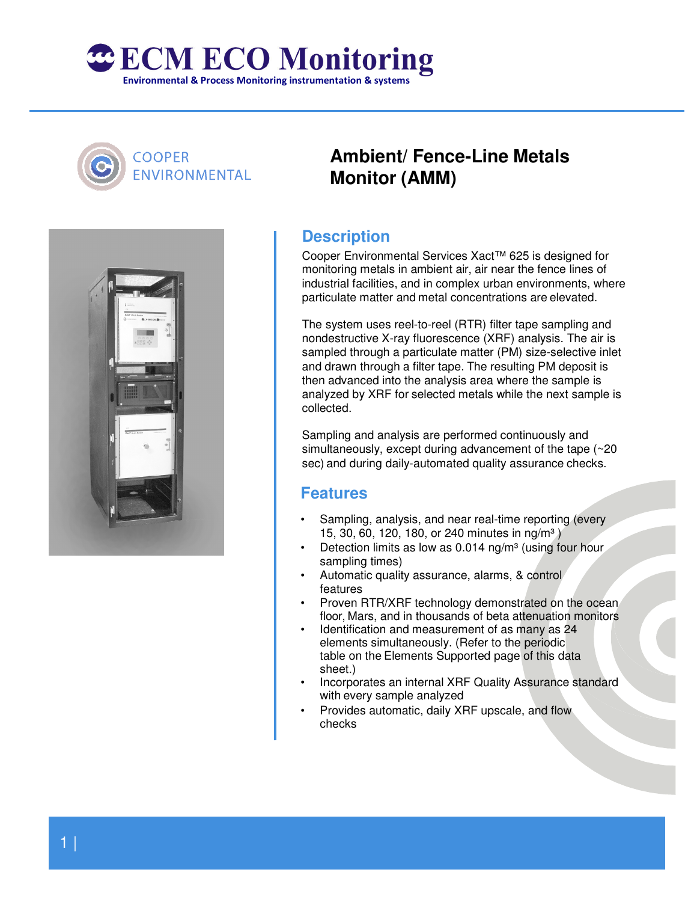

## **COOPER** ENVIRONMENTAL



# **Ambient/ Fence-Line Metals Monitor (AMM)**

### **Description**

Cooper Environmental Services Xact™ 625 is designed for monitoring metals in ambient air, air near the fence lines of industrial facilities, and in complex urban environments, where particulate matter and metal concentrations are elevated.

The system uses reel-to-reel (RTR) filter tape sampling and nondestructive X-ray fluorescence (XRF) analysis. The air is sampled through a particulate matter (PM) size-selective inlet and drawn through a filter tape. The resulting PM deposit is then advanced into the analysis area where the sample is analyzed by XRF for selected metals while the next sample is collected.

Sampling and analysis are performed continuously and simultaneously, except during advancement of the tape (~20 sec) and during daily-automated quality assurance checks.

#### **Features**

- Sampling, analysis, and near real-time reporting (every 15, 30, 60, 120, 180, or 240 minutes in ng/m<sup>3</sup>)
- Detection limits as low as  $0.014$  ng/m<sup>3</sup> (using four hour sampling times)
- Automatic quality assurance, alarms, & control features
- Proven RTR/XRF technology demonstrated on the ocean floor, Mars, and in thousands of beta attenuation monitors
- Identification and measurement of as many as 24 elements simultaneously. (Refer to the periodic table on the Elements Supported page of this data sheet.)
- Incorporates an internal XRF Quality Assurance standard with every sample analyzed
- Provides automatic, daily XRF upscale, and flow checks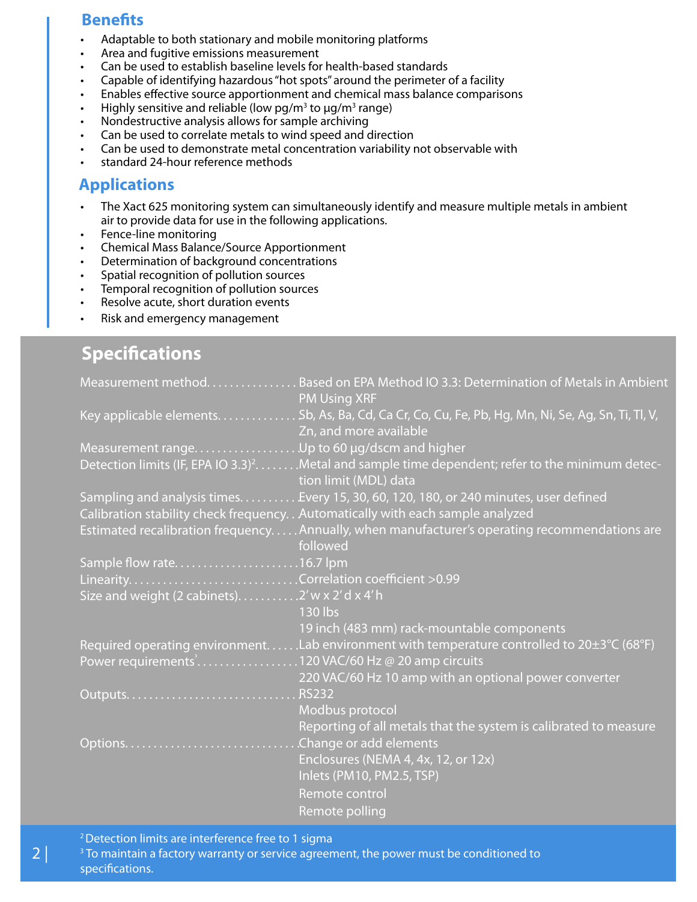#### **Benefits**

- Adaptable to both stationary and mobile monitoring platforms
- Area and fugitive emissions measurement
- Can be used to establish baseline levels for health-based standards
- Capable of identifying hazardous "hot spots" around the perimeter of a facility
- Enables effective source apportionment and chemical mass balance comparisons
- Highly sensitive and reliable (low pg/m<sup>3</sup> to  $\mu$ g/m<sup>3</sup> range)
- Nondestructive analysis allows for sample archiving
- Can be used to correlate metals to wind speed and direction
- Can be used to demonstrate metal concentration variability not observable with
- standard 24-hour reference methods

### **Applications**

- The Xact 625 monitoring system can simultaneously identify and measure multiple metals in ambient air to provide data for use in the following applications.
- Fence-line monitoring
- Chemical Mass Balance/Source Apportionment
- Determination of background concentrations
- Spatial recognition of pollution sources
- Temporal recognition of pollution sources
- Resolve acute, short duration events
- Risk and emergency management

# **Specifications**

|                                                   | Measurement method. Based on EPA Method IO 3.3: Determination of Metals in Ambient<br><b>PM Using XRF</b>                            |
|---------------------------------------------------|--------------------------------------------------------------------------------------------------------------------------------------|
|                                                   | Key applicable elements. Sb, As, Ba, Cd, Ca Cr, Co, Cu, Fe, Pb, Hg, Mn, Ni, Se, Ag, Sn, Ti, Tl, V,<br>Zn, and more available         |
|                                                   |                                                                                                                                      |
|                                                   | Detection limits (IF, EPA IO 3.3) <sup>2</sup> Metal and sample time dependent; refer to the minimum detec-<br>tion limit (MDL) data |
|                                                   | Sampling and analysis times. Every 15, 30, 60, 120, 180, or 240 minutes, user defined                                                |
|                                                   | Calibration stability check frequency. . Automatically with each sample analyzed                                                     |
|                                                   | Estimated recalibration frequencyAnnually, when manufacturer's operating recommendations are<br>followed                             |
|                                                   |                                                                                                                                      |
|                                                   |                                                                                                                                      |
| Size and weight (2 cabinets). 2' w x 2' d x 4' h  | 130 lbs                                                                                                                              |
|                                                   | 19 inch (483 mm) rack-mountable components                                                                                           |
| Power requirements120 VAC/60 Hz @ 20 amp circuits | Required operating environmentLab environment with temperature controlled to $20\pm3\degree$ C (68°F)                                |
|                                                   | 220 VAC/60 Hz 10 amp with an optional power converter                                                                                |
|                                                   |                                                                                                                                      |
|                                                   | <b>Modbus</b> protocol                                                                                                               |
|                                                   | Reporting of all metals that the system is calibrated to measure                                                                     |
|                                                   |                                                                                                                                      |
|                                                   | Enclosures (NEMA 4, 4x, 12, or 12x)                                                                                                  |
|                                                   | Inlets (PM10, PM2.5, TSP)                                                                                                            |
|                                                   | Remote control                                                                                                                       |
|                                                   | Remote polling                                                                                                                       |

<sup>2</sup> Detection limits are interference free to 1 sigma

 $3$  To maintain a factory warranty or service agreement, the power must be conditioned to specifications.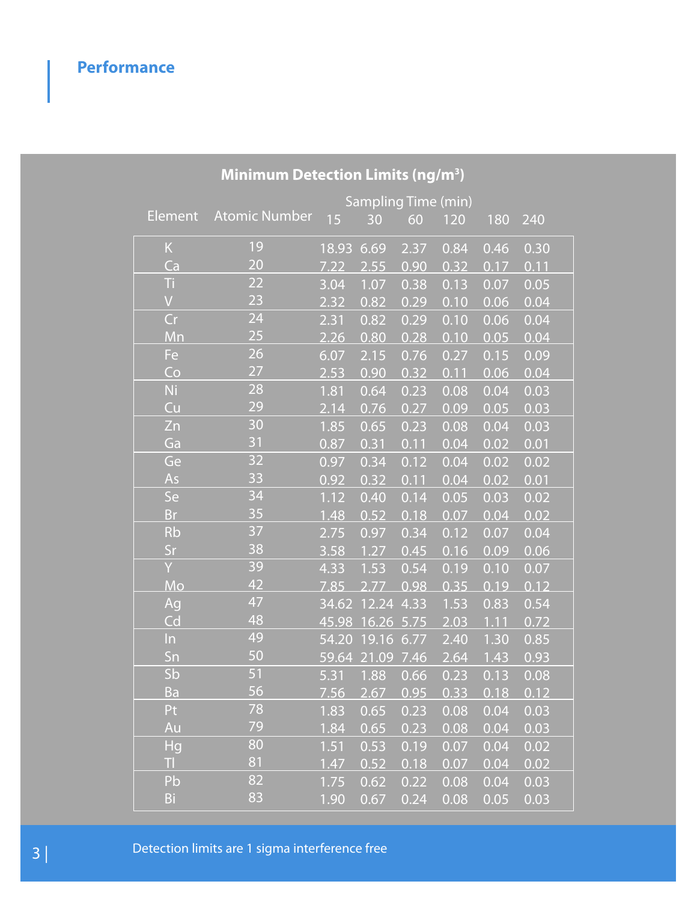# **Performance**

| <b>MINIMUM Detection Limits (ng/m<sup>-</sup>)</b> |                            |       |       |                   |      |      |      |  |  |  |  |  |  |  |
|----------------------------------------------------|----------------------------|-------|-------|-------------------|------|------|------|--|--|--|--|--|--|--|
|                                                    | <b>Sampling Time (min)</b> |       |       |                   |      |      |      |  |  |  |  |  |  |  |
| <b>Element</b>                                     | <b>Atomic Number</b>       | 15    | 30    | 60                | 120  | 180  | 240  |  |  |  |  |  |  |  |
| $\sf K$                                            | 19                         | 18.93 | 6.69  | 2.37              | 0.84 | 0.46 | 0.30 |  |  |  |  |  |  |  |
| Ca                                                 | 20                         | 7.22  | 2.55  | 0.90              | 0.32 | 0.17 | 0.11 |  |  |  |  |  |  |  |
| Ti                                                 | 22                         | 3.04  | 1.07  | 0.38              | 0.13 | 0.07 | 0.05 |  |  |  |  |  |  |  |
| $\overline{V}$                                     | 23                         | 2.32  | 0.82  | 0.29              | 0.10 | 0.06 | 0.04 |  |  |  |  |  |  |  |
| Cr                                                 | 24                         | 2.31  | 0.82  | 0.29              | 0.10 | 0.06 | 0.04 |  |  |  |  |  |  |  |
| Mn                                                 | 25                         | 2.26  | 0.80  | 0.28              | 0.10 | 0.05 | 0.04 |  |  |  |  |  |  |  |
| Fe                                                 | 26                         | 6.07  | 2.15  | 0.76              | 0.27 | 0.15 | 0.09 |  |  |  |  |  |  |  |
| Co                                                 | 27                         | 2.53  | 0.90  | 0.32              | 0.11 | 0.06 | 0.04 |  |  |  |  |  |  |  |
| <b>Ni</b>                                          | $\overline{28}$            | 1.81  | 0.64  | 0.23              | 0.08 | 0.04 | 0.03 |  |  |  |  |  |  |  |
| Cu                                                 | 29                         | 2.14  | 0.76  | 0.27              | 0.09 | 0.05 | 0.03 |  |  |  |  |  |  |  |
| Zn                                                 | 30                         | 1.85  | 0.65  | 0.23              | 0.08 | 0.04 | 0.03 |  |  |  |  |  |  |  |
| Ga                                                 | 31                         | 0.87  | 0.31  | 0.11              | 0.04 | 0.02 | 0.01 |  |  |  |  |  |  |  |
| Ge                                                 | 32                         | 0.97  | 0.34  | 0.12              | 0.04 | 0.02 | 0.02 |  |  |  |  |  |  |  |
| As                                                 | 33                         | 0.92  | 0.32  | 0.11              | 0.04 | 0.02 | 0.01 |  |  |  |  |  |  |  |
| Se                                                 | 34                         | 1.12  | 0.40  | $\overline{0.14}$ | 0.05 | 0.03 | 0.02 |  |  |  |  |  |  |  |
| <b>Br</b>                                          | 35                         | 1.48  | 0.52  | 0.18              | 0.07 | 0.04 | 0.02 |  |  |  |  |  |  |  |
| <b>Rb</b>                                          | 37                         | 2.75  | 0.97  | 0.34              | 0.12 | 0.07 | 0.04 |  |  |  |  |  |  |  |
| Sr                                                 | 38                         | 3.58  | 1.27  | 0.45              | 0.16 | 0.09 | 0.06 |  |  |  |  |  |  |  |
| Ÿ                                                  | 39                         | 4.33  | 1.53  | 0.54              | 0.19 | 0.10 | 0.07 |  |  |  |  |  |  |  |
| Mo                                                 | 42                         | 7.85  | 2.77  | 0.98              | 0.35 | 0.19 | 0.12 |  |  |  |  |  |  |  |
| Ag                                                 | 47                         | 34.62 | 12.24 | 4.33              | 1.53 | 0.83 | 0.54 |  |  |  |  |  |  |  |
| Cd                                                 | 48                         | 45.98 | 16.26 | 5.75              | 2.03 | 1.11 | 0.72 |  |  |  |  |  |  |  |
| $\ln$                                              | 49                         | 54.20 | 19.16 | 6.77              | 2.40 | 1.30 | 0.85 |  |  |  |  |  |  |  |
| Sn                                                 | 50                         | 59.64 | 21.09 | 7.46              | 2.64 | 1.43 | 0.93 |  |  |  |  |  |  |  |
| Sb                                                 | 51                         | 5.31  | 1.88  | 0.66              | 0.23 | 0.13 | 0.08 |  |  |  |  |  |  |  |
| <b>Ba</b>                                          | 56                         | 7.56  | 2.67  | 0.95              | 0.33 | 0.18 | 0.12 |  |  |  |  |  |  |  |
| Pt                                                 | 78                         | 1.83  | 0.65  | 0.23              | 0.08 | 0.04 | 0.03 |  |  |  |  |  |  |  |
| Au                                                 | 79                         | 1.84  | 0.65  | 0.23              | 0.08 | 0.04 | 0.03 |  |  |  |  |  |  |  |
| Hg                                                 | 80                         | 1.51  | 0.53  | 0.19              | 0.07 | 0.04 | 0.02 |  |  |  |  |  |  |  |
| TI.                                                | 81                         | 1.47  | 0.52  | 0.18              | 0.07 | 0.04 | 0.02 |  |  |  |  |  |  |  |
| Pb                                                 | 82                         | 1.75  | 0.62  | 0.22              | 0.08 | 0.04 | 0.03 |  |  |  |  |  |  |  |
| Bi                                                 | 83                         | 1.90  | 0.67  | 0.24              | 0.08 | 0.05 | 0.03 |  |  |  |  |  |  |  |

### **Minimum Detection Limits (ng/m<sup>3</sup> )**